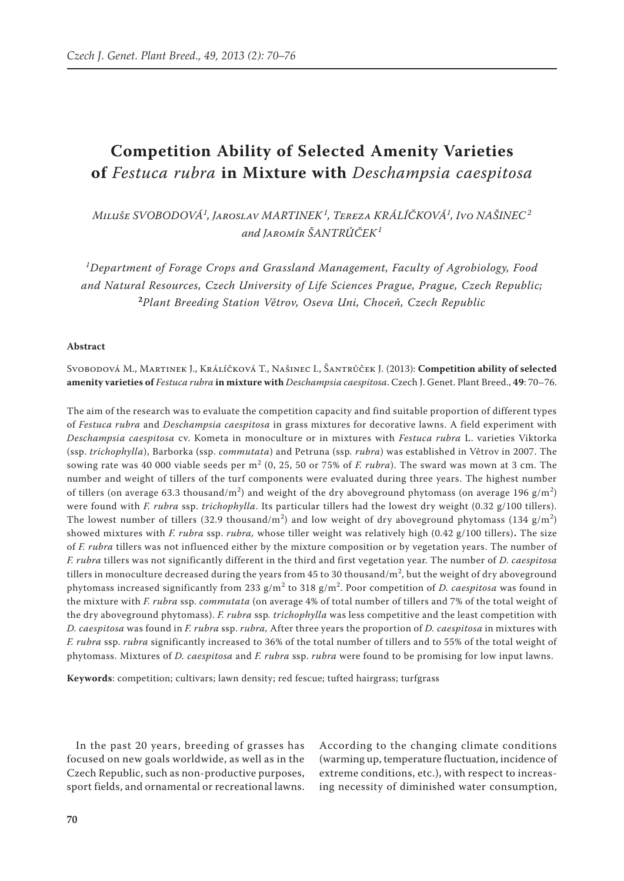# **Competition Ability of Selected Amenity Varieties of** *Festuca rubra* **in Mixture with** *Deschampsia caespitosa*

*Miluše SVOBODOVÁ<sup>1</sup> , Jaroslav MARTINEK<sup>1</sup> , Tereza KRÁLÍČKOVÁ<sup>1</sup> , Ivo NAŠINEC<sup>2</sup> and Jaromír ŠANTRŮČEK<sup>1</sup>*

*1 Department of Forage Crops and Grassland Management, Faculty of Agrobiology, Food and Natural Resources, Czech University of Life Sciences Prague, Prague, Czech Republic;*  **<sup>2</sup>***Plant Breeding Station Větrov, Oseva Uni, Choceň, Czech Republic*

#### **Abstract**

Svobodová M., Martinek J., Králíčková T., Našinec I., Šantrůček J. (2013): **Competition ability of selected amenity varieties of** *Festuca rubra* **in mixture with** *Deschampsia caespitosa*. Czech J. Genet. Plant Breed., **49**: 70–76.

The aim of the research was to evaluate the competition capacity and find suitable proportion of different types of *Festuca rubra* and *Deschampsia caespitosa* in grass mixtures for decorative lawns. A field experiment with *Deschampsia caespitosa* cv. Kometa in monoculture or in mixtures with *Festuca rubra* L. varieties Viktorka (ssp. *trichophylla*), Barborka (ssp. *commutata*) and Petruna (ssp*. rubra*) was established in Větrov in 2007. The sowing rate was 40 000 viable seeds per m<sup>2</sup> (0, 25, 50 or 75% of *F. rubra*). The sward was mown at 3 cm. The number and weight of tillers of the turf components were evaluated during three years. The highest number of tillers (on average 63.3 thousand/m<sup>2</sup>) and weight of the dry aboveground phytomass (on average 196 g/m<sup>2</sup>) were found with *F. rubra* ssp. *trichophylla*. Its particular tillers had the lowest dry weight (0.32 g/100 tillers). The lowest number of tillers (32.9 thousand/m<sup>2</sup>) and low weight of dry aboveground phytomass (134 g/m<sup>2</sup>) showed mixtures with *F. rubra* ssp. *rubra,* whose tiller weight was relatively high (0.42 g/100 tillers)**.** The size of *F. rubra* tillers was not influenced either by the mixture composition or by vegetation years. The number of *F. rubra* tillers was not significantly different in the third and first vegetation year. The number of *D. caespitosa* tillers in monoculture decreased during the years from 45 to 30 thousand/m<sup>2</sup>, but the weight of dry aboveground phytomass increased significantly from 233 g/m<sup>2</sup> to 318 g/m<sup>2</sup>. Poor competition of *D. caespitosa* was found in the mixture with *F. rubra* ssp*. commutata* (on average 4% of total number of tillers and 7% of the total weight of the dry aboveground phytomass). *F. rubra* ssp*. trichophylla* was less competitive and the least competition with *D. caespitosa* was found in *F. rubra* ssp. *rubra,* After three years the proportion of *D. caespitosa* in mixtures with *F. rubra* ssp. *rubra* significantly increased to 36% of the total number of tillers and to 55% of the total weight of phytomass. Mixtures of *D. caespitosa* and *F. rubra* ssp. *rubra* were found to be promising for low input lawns.

**Keywords**: competition; cultivars; lawn density; red fescue; tufted hairgrass; turfgrass

In the past 20 years, breeding of grasses has focused on new goals worldwide, as well as in the Czech Republic, such as non-productive purposes, sport fields, and ornamental or recreational lawns.

According to the changing climate conditions (warming up, temperature fluctuation, incidence of extreme conditions, etc.), with respect to increasing necessity of diminished water consumption,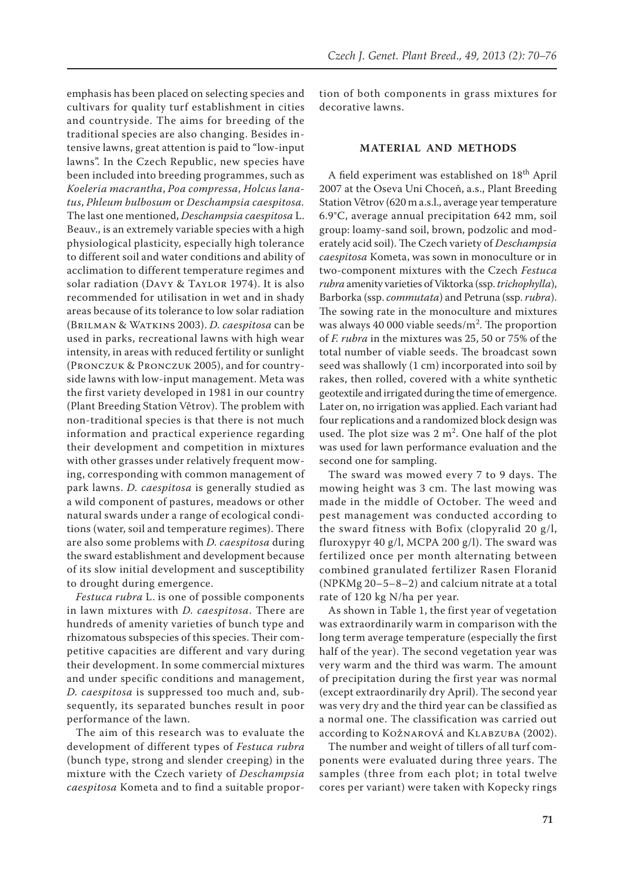emphasis has been placed on selecting species and cultivars for quality turf establishment in cities and countryside. The aims for breeding of the traditional species are also changing. Besides intensive lawns, great attention is paid to "low-input lawns". In the Czech Republic, new species have been included into breeding programmes, such as *Koeleria macrantha*, *Poa compressa*, *Holcus lanatus*, *Phleum bulbosum* or *Deschampsia caespitosa.* The last one mentioned, *Deschampsia caespitosa* L. Beauv., is an extremely variable species with a high physiological plasticity, especially high tolerance to different soil and water conditions and ability of acclimation to different temperature regimes and solar radiation (Davy & Taylor 1974). It is also recommended for utilisation in wet and in shady areas because of its tolerance to low solar radiation (Brilman & Watkins 2003). *D. caespitosa* can be used in parks, recreational lawns with high wear intensity, in areas with reduced fertility or sunlight (Pronczuk & Pronczuk 2005), and for countryside lawns with low-input management. Meta was the first variety developed in 1981 in our country (Plant Breeding Station Větrov). The problem with non-traditional species is that there is not much information and practical experience regarding their development and competition in mixtures with other grasses under relatively frequent mowing, corresponding with common management of park lawns. *D. caespitosa* is generally studied as a wild component of pastures, meadows or other natural swards under a range of ecological conditions (water, soil and temperature regimes). There are also some problems with *D. caespitosa* during the sward establishment and development because of its slow initial development and susceptibility to drought during emergence.

*Festuca rubra* L. is one of possible components in lawn mixtures with *D. caespitosa*. There are hundreds of amenity varieties of bunch type and rhizomatous subspecies of this species. Their competitive capacities are different and vary during their development. In some commercial mixtures and under specific conditions and management, *D. caespitosa* is suppressed too much and, subsequently, its separated bunches result in poor performance of the lawn.

The aim of this research was to evaluate the development of different types of *Festuca rubra* (bunch type, strong and slender creeping) in the mixture with the Czech variety of *Deschampsia caespitosa* Kometa and to find a suitable proportion of both components in grass mixtures for decorative lawns.

### **MATERIAL AND METHODS**

A field experiment was established on 18th April 2007 at the Oseva Uni Choceň, a.s., Plant Breeding Station Větrov (620 m a.s.l., average year temperature 6.9°C, average annual precipitation 642 mm, soil group: loamy-sand soil, brown, podzolic and moderately acid soil). The Czech variety of *Deschampsia caespitosa* Kometa, was sown in monoculture or in two-component mixtures with the Czech *Festuca rubra* amenity varieties of Viktorka (ssp. *trichophylla*), Barborka (ssp. *commutata*) and Petruna (ssp. *rubra*). The sowing rate in the monoculture and mixtures was always 40 000 viable seeds/ $m^2$ . The proportion of *F. rubra* in the mixtures was 25, 50 or 75% of the total number of viable seeds. The broadcast sown seed was shallowly (1 cm) incorporated into soil by rakes, then rolled, covered with a white synthetic geotextile and irrigated during the time of emergence. Later on, no irrigation was applied. Each variant had four replications and a randomized block design was used. The plot size was  $2 \text{ m}^2$ . One half of the plot was used for lawn performance evaluation and the second one for sampling.

The sward was mowed every 7 to 9 days. The mowing height was 3 cm. The last mowing was made in the middle of October. The weed and pest management was conducted according to the sward fitness with Bofix (clopyralid 20 g/l, fluroxypyr 40 g/l, MCPA 200 g/l). The sward was fertilized once per month alternating between combined granulated fertilizer Rasen Floranid (NPKMg 20–5–8–2) and calcium nitrate at a total rate of 120 kg N/ha per year.

As shown in Table 1, the first year of vegetation was extraordinarily warm in comparison with the long term average temperature (especially the first half of the year). The second vegetation year was very warm and the third was warm. The amount of precipitation during the first year was normal (except extraordinarily dry April). The second year was very dry and the third year can be classified as a normal one. The classification was carried out according to Kožnarová and Klabzuba (2002).

The number and weight of tillers of all turf components were evaluated during three years. The samples (three from each plot; in total twelve cores per variant) were taken with Kopecky rings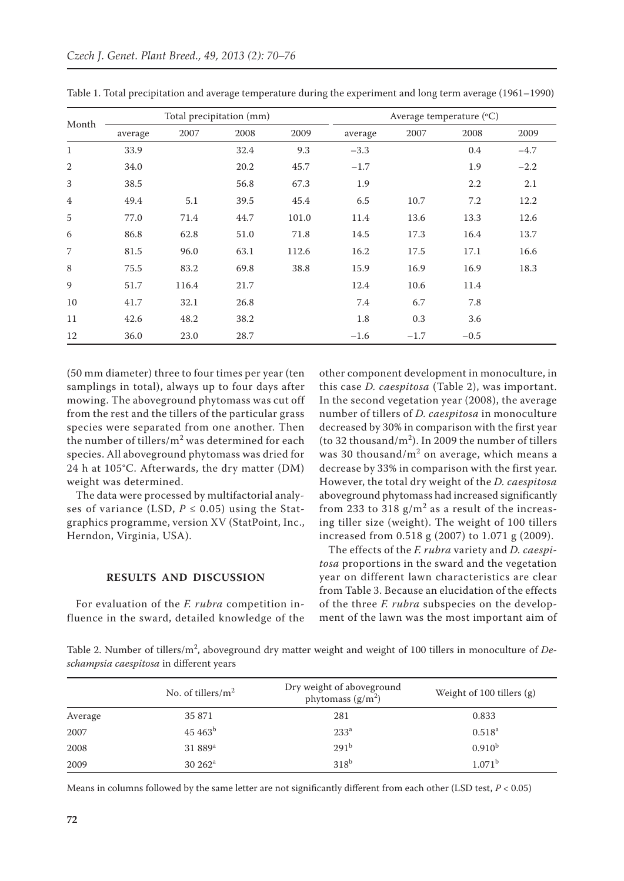|                |         |       | Total precipitation (mm) |       |         |        | Average temperature $({}^{\circ}C)$ |        |
|----------------|---------|-------|--------------------------|-------|---------|--------|-------------------------------------|--------|
| Month          | average | 2007  | 2008                     | 2009  | average | 2007   | 2008                                | 2009   |
| $\mathbf 1$    | 33.9    |       | 32.4                     | 9.3   | $-3.3$  |        | 0.4                                 | $-4.7$ |
| $\mathbf{2}$   | 34.0    |       | 20.2                     | 45.7  | $-1.7$  |        | 1.9                                 | $-2.2$ |
| 3              | 38.5    |       | 56.8                     | 67.3  | 1.9     |        | 2.2                                 | 2.1    |
| $\overline{4}$ | 49.4    | 5.1   | 39.5                     | 45.4  | 6.5     | 10.7   | 7.2                                 | 12.2   |
| 5              | 77.0    | 71.4  | 44.7                     | 101.0 | 11.4    | 13.6   | 13.3                                | 12.6   |
| 6              | 86.8    | 62.8  | 51.0                     | 71.8  | 14.5    | 17.3   | 16.4                                | 13.7   |
| 7              | 81.5    | 96.0  | 63.1                     | 112.6 | 16.2    | 17.5   | 17.1                                | 16.6   |
| 8              | 75.5    | 83.2  | 69.8                     | 38.8  | 15.9    | 16.9   | 16.9                                | 18.3   |
| 9              | 51.7    | 116.4 | 21.7                     |       | 12.4    | 10.6   | 11.4                                |        |
| 10             | 41.7    | 32.1  | 26.8                     |       | 7.4     | 6.7    | 7.8                                 |        |
| 11             | 42.6    | 48.2  | 38.2                     |       | 1.8     | 0.3    | 3.6                                 |        |
| 12             | 36.0    | 23.0  | 28.7                     |       | $-1.6$  | $-1.7$ | $-0.5$                              |        |

Table 1. Total precipitation and average temperature during the experiment and long term average (1961–1990)

(50 mm diameter) three to four times per year (ten samplings in total), always up to four days after mowing. The aboveground phytomass was cut off from the rest and the tillers of the particular grass species were separated from one another. Then the number of tillers/ $m^2$  was determined for each species. All aboveground phytomass was dried for 24 h at 105°C. Afterwards, the dry matter (DM) weight was determined.

The data were processed by multifactorial analyses of variance (LSD,  $P \leq 0.05$ ) using the Statgraphics programme, version XV (StatPoint, Inc., Herndon, Virginia, USA).

## **RESULTS AND DISCUSSION**

For evaluation of the *F. rubra* competition influence in the sward, detailed knowledge of the

other component development in monoculture, in this case *D. caespitosa* (Table 2), was important. In the second vegetation year (2008), the average number of tillers of *D. caespitosa* in monoculture decreased by 30% in comparison with the first year (to 32 thousand/ $m<sup>2</sup>$ ). In 2009 the number of tillers was 30 thousand/ $m^2$  on average, which means a decrease by 33% in comparison with the first year. However, the total dry weight of the *D. caespitosa* aboveground phytomass had increased significantly from 233 to 318  $\rm g/m^2$  as a result of the increasing tiller size (weight). The weight of 100 tillers increased from 0.518 g (2007) to 1.071 g (2009).

The effects of the *F. rubra* variety and *D. caespitosa* proportions in the sward and the vegetation year on different lawn characteristics are clear from Table 3. Because an elucidation of the effects of the three *F. rubra* subspecies on the development of the lawn was the most important aim of

Table 2. Number of tillers/m<sup>2</sup>, aboveground dry matter weight and weight of 100 tillers in monoculture of *Deschampsia caespitosa* in different years

|         | No. of tillers/ $m^2$ | Dry weight of aboveground<br>phytomass $(g/m^2)$ | Weight of 100 tillers (g) |
|---------|-----------------------|--------------------------------------------------|---------------------------|
| Average | 35 871                | 281                                              | 0.833                     |
| 2007    | $45\,463^b$           | 233 <sup>a</sup>                                 | $0.518^{\rm a}$           |
| 2008    | 31 889 <sup>a</sup>   | 291 <sup>b</sup>                                 | $0.910^{b}$               |
| 2009    | $30\,262^{\rm a}$     | 318 <sup>b</sup>                                 | 1.071 <sup>b</sup>        |

Means in columns followed by the same letter are not significantly different from each other (LSD test, *P* < 0.05)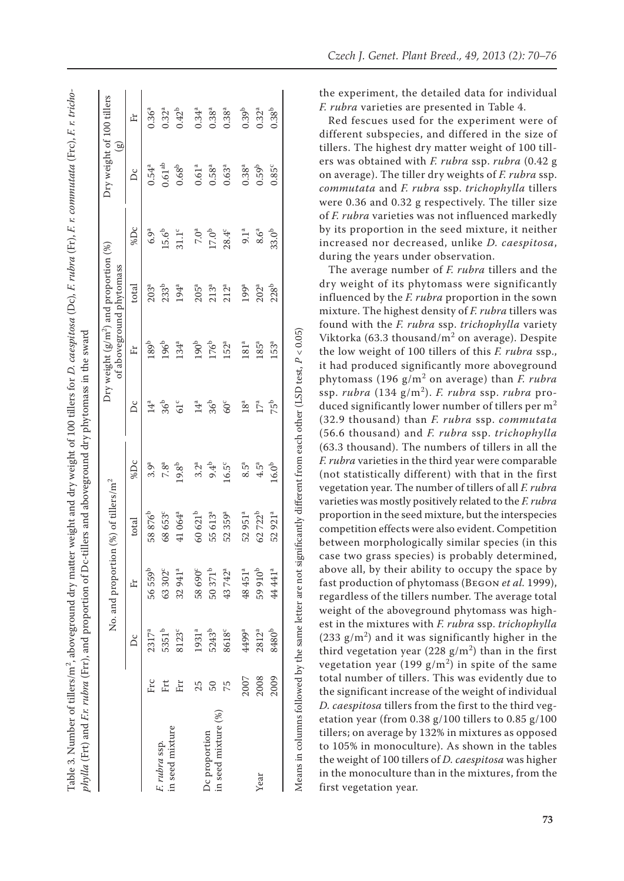| phylla (Frt) and Fr. rubra (Frr), and proportion of Dc-tillers and aboveground dry phytomass in the sward<br>Table 3. Number of tillers/m <sup>2</sup> , aboveground dry matter |      |                   |                                                  |                    |                  |                 |                                                                        |                  |                   | weight and dry weight of 100 tillers for <i>D. caespitosa</i> (Dc), <i>E. rubra</i> (Fr), <i>E. r. commutata</i> (Frc), <i>E. r. tricho</i> - |                           |
|---------------------------------------------------------------------------------------------------------------------------------------------------------------------------------|------|-------------------|--------------------------------------------------|--------------------|------------------|-----------------|------------------------------------------------------------------------|------------------|-------------------|-----------------------------------------------------------------------------------------------------------------------------------------------|---------------------------|
|                                                                                                                                                                                 |      |                   | No. and proportion (%) of tillers/m <sup>2</sup> |                    |                  |                 | Dry weight $(g/m^2)$ and proportion $(\%)$<br>of aboveground phytomass |                  |                   | $\widetilde{\mathbf{g}}$                                                                                                                      | Dry weight of 100 tillers |
|                                                                                                                                                                                 |      | Δc                | Fr                                               | total              | %Dc              | Δc              | Ēr                                                                     | total            | %Dc               | Δc                                                                                                                                            | 占                         |
|                                                                                                                                                                                 | Frc  | 2317 <sup>a</sup> | 56559b                                           | 58876 <sup>b</sup> | 3.9 <sup>a</sup> | $14^a$          | 189 <sup>b</sup>                                                       | $203^a$          | 6.9ª              | $0.54^{a}$                                                                                                                                    | $0.36^{a}$                |
| E. rubra ssp.                                                                                                                                                                   | Frt  | 5351b             | 63302 <sup>c</sup>                               | 68653              | 7.8 <sup>a</sup> | 36 <sup>b</sup> | 196 <sup>b</sup>                                                       | 233 <sup>b</sup> | $15.6^{b}$        | 0.61 <sup>ab</sup>                                                                                                                            | $0.32^{a}$                |
| in seed mixture                                                                                                                                                                 | Frr  | 8123 <sup>c</sup> | 32941ª                                           | 41064ª             | $19.8^{b}$       | 61c             | 134 <sup>a</sup>                                                       | 194 <sup>a</sup> | $31.1^c$          | $0.68^{b}$                                                                                                                                    | $0.42^{b}$                |
|                                                                                                                                                                                 | 25   | 1931 <sup>a</sup> | 58690°                                           | 60621 <sup>b</sup> | 3.2 <sup>a</sup> | $14^a$          | 190 <sup>b</sup>                                                       | $205^{a}$        | 7.0 <sup>a</sup>  | 0.61 <sup>a</sup>                                                                                                                             | $0.34^{a}$                |
| in seed mixture (%)<br>Dc proportion                                                                                                                                            | 50   | 5243 <sup>b</sup> | 50371 <sup>b</sup>                               | 55613ª             | $9.4^{b}$        | 36 <sup>b</sup> | 176 <sup>b</sup>                                                       | $213^a$          | $17.0^{\rm b}$    | $0.58^{a}$                                                                                                                                    | $0.38^{a}$                |
|                                                                                                                                                                                 | 75   | 8618 <sup>c</sup> | 43742 <sup>a</sup>                               | 52 359ª            | $16.5^c$         | $60^{\circ}$    | 152ª                                                                   | $212^{a}$        | $28.4^c$          | $0.63^{a}$                                                                                                                                    | $0.38^{a}$                |
|                                                                                                                                                                                 | 2007 | 4499ª             | 48 451 <sup>a</sup>                              | 52951ª             | $8.5^{a}$        | $18^a$          | 181 <sup>a</sup>                                                       | 199ª             | 9.1 <sup>a</sup>  | $0.38^{a}$                                                                                                                                    | 0.39 <sup>b</sup>         |
| Year                                                                                                                                                                            | 2008 | 2812 <sup>a</sup> | 59 910 <sup>b</sup>                              | 62722b             | $4.5^{\rm a}$    | $17^a$          | 185 <sup>a</sup>                                                       | 202 <sup>a</sup> | $8.6^{a}$         | $0.59^{b}$                                                                                                                                    | $0.32^{a}$                |
|                                                                                                                                                                                 | 2009 | 8480 <sup>b</sup> | 44 441ª                                          | 52921 <sup>a</sup> | $16.0^{b}$       | 75 <sup>b</sup> | 153 <sup>a</sup>                                                       | 228 <sup>b</sup> | 33.0 <sup>b</sup> | 0.85c                                                                                                                                         | $0.38^{b}$                |

Table 3. Number of tillers/m<sup>2</sup>, aboveground dry matter weight and dry weight of 100 tillers for *D. caespitosa* (Dc), *E rubra* (Fr), *E* r. commutata (Fr), *E* r. tricho-

the experiment, the detailed data for individual *F. rubra* varieties are presented in Table 4.

Red fescues used for the experiment were of different subspecies, and differed in the size of tillers. The highest dry matter weight of 100 tillers was obtained with *F. rubra* ssp. *rubra* (0.42 g on average). The tiller dry weights of *F. rubra* ssp. *commutata* and *F. rubra* ssp. *trichophylla* tillers were 0.36 and 0.32 g respectively. The tiller size of *F. rubra* varieties was not influenced markedly by its proportion in the seed mixture, it neither increased nor decreased, unlike *D. caespitosa*, during the years under observation.

The average number of *F. rubra* tillers and the dry weight of its phytomass were significantly influenced by the *F. rubra* proportion in the sown mixture. The highest density of *F. rubra* tillers was found with the *F. rubra* ssp. *trichophylla* variety Viktorka (63.3 thousand/ $m<sup>2</sup>$  on average). Despite the low weight of 100 tillers of this *F. rubra* ssp., it had produced significantly more aboveground phytomass (196 g/m<sup>2</sup> on average) than *F. rubra* ssp. *rubra* (134 g/m<sup>2</sup> ). *F. rubra* ssp. *rubra* produced significantly lower number of tillers per  $m<sup>2</sup>$ (32.9 thousand) than *F. rubra* ssp. *commutata* (56.6 thousand) and *F. rubra* ssp. *trichophylla*  (63.3 thousand). The numbers of tillers in all the *F. rubra* varieties in the third year were comparable (not statistically different) with that in the first vegetation year. The number of tillers of all *F. rubra* varieties was mostly positively related to the *F. rubra* proportion in the seed mixture, but the interspecies competition effects were also evident. Competition between morphologically similar species (in this case two grass species) is probably determined, above all, by their ability to occupy the space by fast production of phytomass (Begon *et al.* 1999), regardless of the tillers number. The average total weight of the aboveground phytomass was highest in the mixtures with *F. rubra* ssp. *trichophylla*  $(233 \text{ g/m}^2)$  and it was significantly higher in the third vegetation year (228  $g/m<sup>2</sup>$ ) than in the first vegetation year (199  $g/m<sup>2</sup>$ ) in spite of the same total number of tillers. This was evidently due to the significant increase of the weight of individual *D. caespitosa* tillers from the first to the third vegetation year (from 0.38 g/100 tillers to 0.85 g/100 tillers; on average by 132% in mixtures as opposed to 105% in monoculture). As shown in the tables the weight of 100 tillers of *D. caespitosa* was higher in the monoculture than in the mixtures, from the first vegetation year.

Means in columns followed by the same letter are not significantly different from each other (LSD test, Means in columns followed by the same letter are not significantly different from each other (LSD test,  $P < 0.05$ )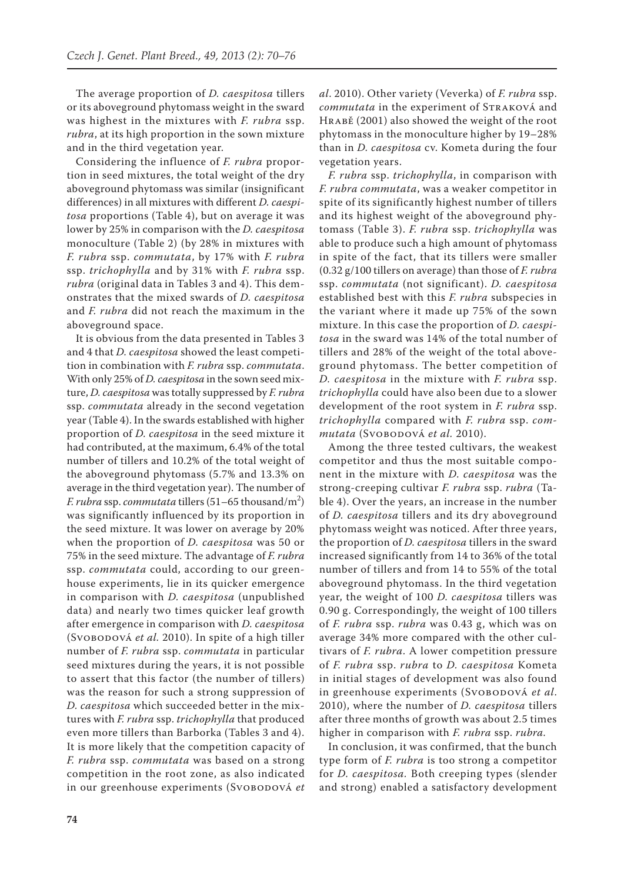The average proportion of *D. caespitosa* tillers or its aboveground phytomass weight in the sward was highest in the mixtures with *F. rubra* ssp. *rubra*, at its high proportion in the sown mixture and in the third vegetation year.

Considering the influence of *F. rubra* proportion in seed mixtures, the total weight of the dry aboveground phytomass was similar (insignificant differences) in all mixtures with different *D. caespitosa* proportions (Table 4), but on average it was lower by 25% in comparison with the *D. caespitosa* monoculture (Table 2) (by 28% in mixtures with *F. rubra* ssp. *commutata*, by 17% with *F. rubra* ssp. *trichophylla* and by 31% with *F. rubra* ssp. *rubra* (original data in Tables 3 and 4). This demonstrates that the mixed swards of *D. caespitosa* and *F. rubra* did not reach the maximum in the aboveground space.

It is obvious from the data presented in Tables 3 and 4 that *D. caespitosa* showed the least competition in combination with *F. rubra* ssp. *commutata*. With only 25% of *D. caespitosa* in the sown seed mixture, *D. caespitosa* was totally suppressed by *F. rubra* ssp. *commutata* already in the second vegetation year (Table 4). In the swards established with higher proportion of *D. caespitosa* in the seed mixture it had contributed, at the maximum, 6.4% of the total number of tillers and 10.2% of the total weight of the aboveground phytomass (5.7% and 13.3% on average in the third vegetation year). The number of *F. rubra* ssp. *commutata* tillers (51–65 thousand/m2 ) was significantly influenced by its proportion in the seed mixture. It was lower on average by 20% when the proportion of *D. caespitosa* was 50 or 75% in the seed mixture. The advantage of *F. rubra*  ssp. *commutata* could, according to our greenhouse experiments, lie in its quicker emergence in comparison with *D. caespitosa* (unpublished data) and nearly two times quicker leaf growth after emergence in comparison with *D. caespitosa* (Svobodová *et al.* 2010). In spite of a high tiller number of *F. rubra* ssp. *commutata* in particular seed mixtures during the years, it is not possible to assert that this factor (the number of tillers) was the reason for such a strong suppression of *D. caespitosa* which succeeded better in the mixtures with *F. rubra* ssp. *trichophylla* that produced even more tillers than Barborka (Tables 3 and 4). It is more likely that the competition capacity of *F. rubra* ssp. *commutata* was based on a strong competition in the root zone, as also indicated in our greenhouse experiments (SvoBODOVÁ et

*al*. 2010). Other variety (Veverka) of *F. rubra* ssp. *commutata* in the experiment of Straková and Hrabě (2001) also showed the weight of the root phytomass in the monoculture higher by 19–28% than in *D. caespitosa* cv. Kometa during the four vegetation years.

*F. rubra* ssp. *trichophylla*, in comparison with *F. rubra commutata*, was a weaker competitor in spite of its significantly highest number of tillers and its highest weight of the aboveground phytomass (Table 3). *F. rubra* ssp. *trichophylla* was able to produce such a high amount of phytomass in spite of the fact, that its tillers were smaller (0.32 g/100 tillers on average) than those of *F. rubra* ssp. *commutata* (not significant). *D. caespitosa* established best with this *F. rubra* subspecies in the variant where it made up 75% of the sown mixture. In this case the proportion of *D. caespitosa* in the sward was 14% of the total number of tillers and 28% of the weight of the total aboveground phytomass. The better competition of *D. caespitosa* in the mixture with *F. rubra* ssp. *trichophylla* could have also been due to a slower development of the root system in *F. rubra* ssp. *trichophylla* compared with *F. rubra* ssp. *commutata* (Svobodová *et al.* 2010).

Among the three tested cultivars, the weakest competitor and thus the most suitable component in the mixture with *D. caespitosa* was the strong-creeping cultivar *F. rubra* ssp. *rubra* (Table 4). Over the years, an increase in the number of *D. caespitosa* tillers and its dry aboveground phytomass weight was noticed. After three years, the proportion of *D. caespitosa* tillers in the sward increased significantly from 14 to 36% of the total number of tillers and from 14 to 55% of the total aboveground phytomass. In the third vegetation year, the weight of 100 *D. caespitosa* tillers was 0.90 g. Correspondingly, the weight of 100 tillers of *F. rubra* ssp. *rubra* was 0.43 g, which was on average 34% more compared with the other cultivars of *F. rubra*. A lower competition pressure of *F. rubra* ssp. *rubra* to *D. caespitosa* Kometa in initial stages of development was also found in greenhouse experiments (SvoBODOVÁ et al. 2010), where the number of *D. caespitosa* tillers after three months of growth was about 2.5 times higher in comparison with *F. rubra* ssp. *rubra.*

In conclusion, it was confirmed, that the bunch type form of *F. rubra* is too strong a competitor for *D. caespitosa.* Both creeping types (slender and strong) enabled a satisfactory development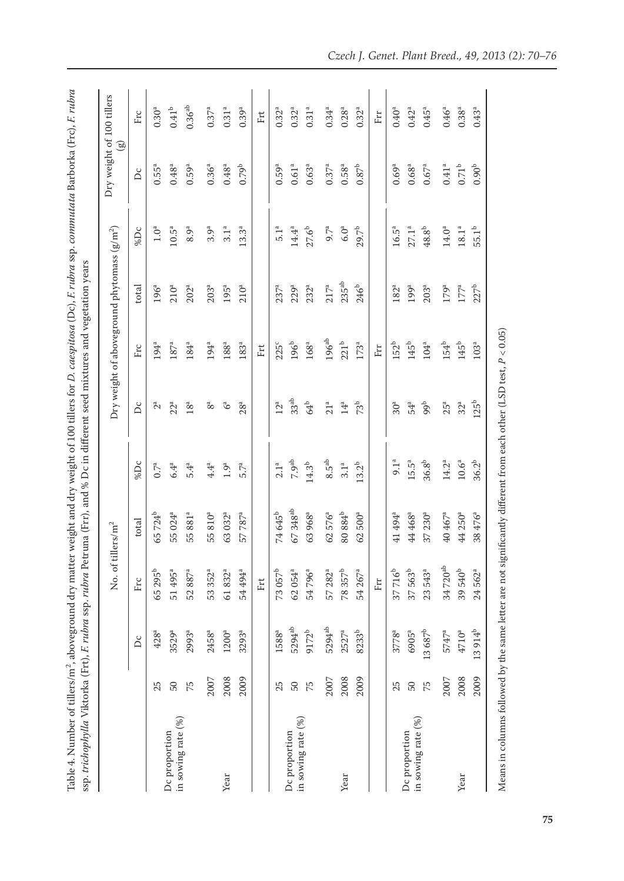| L<br>ļ<br>こく なこと<br>$\cap$ $E$ $m, h, \ldots$<br>ļ<br>י<br>י<br>(<br>I<br>j<br>くら<br>ところこ | .<br>ו<br>べ へい こうしゅう へい<br>Î<br>$\sim$ 1.1<br>)<br> <br> <br>ふ DUE [ JJ   BUIL<br>$\overline{\mathbf{u}}$<br>i<br>ļ<br>;<br>;<br>i<br>$41m$ and $m$ and $1m + 1$<br>ļ<br>Į |
|-------------------------------------------------------------------------------------------|----------------------------------------------------------------------------------------------------------------------------------------------------------------------------|
| " Nirolea Aar 11 Harolea - An Annar 11 Harolea - A                                        | $\cdots$<br><br>;<br>$\cos \theta$                                                                                                                                         |
| E                                                                                         |                                                                                                                                                                            |

|                                     |        |                      |                        | No. of tillers/m <sup>2</sup> |                     |                  | Dry weight of aboveground phytomass $(g/m^2)$ |                  |                     | Dry weight of 100 tillers<br>$\circledcirc$ |                      |
|-------------------------------------|--------|----------------------|------------------------|-------------------------------|---------------------|------------------|-----------------------------------------------|------------------|---------------------|---------------------------------------------|----------------------|
|                                     |        | Dc                   | $\operatorname{Frc}$   | $_{\rm total}$                | %Dc                 | $\sum C$         | $\operatorname{Frc}$                          | total            | %Dc                 | $\mathsf D$ c                               | Frc                  |
|                                     | 25     | $428^a$              | 65 295 <sup>b</sup>    | 65724 <sup>b</sup>            | $0.7^a$             | $\tilde{c}^a$    | 194 <sup>a</sup>                              | 196 <sup>a</sup> | 1.0 <sup>a</sup>    | $0.55^{a}$                                  | 0.30 <sup>a</sup>    |
| in sowing rate (%)<br>Dc proportion | $50\,$ | 3529 <sup>a</sup>    | 51 495 <sup>a</sup>    | 55 024 <sup>a</sup>           | $6.4^a$             | $22^a$           | $187^{\rm a}$                                 | $210^a$          | $10.5^a$            | 0.48 <sup>a</sup>                           | $0.41^{\rm b}$       |
|                                     | 75     | 2993 <sup>a</sup>    | $52.887^{\rm a}$       | 55 881 <sup>a</sup>           | $5.4^{a}$           | 18 <sup>a</sup>  | $184^\mathrm{a}$                              | 202 <sup>a</sup> | 8.9 <sup>a</sup>    | $0.59^{a}$                                  | $0.36^{\rm ab}$      |
|                                     | 2007   | $2458^{\rm a}$       | 53 352ª                | 55810 <sup>a</sup>            | $4.4^a$             | $\rm 8^a$        | 194 <sup>a</sup>                              | $203^a$          | 3.9 <sup>a</sup>    | $0.36^{a}$                                  | $0.37^{a}$           |
| Year                                | 2008   | 1200 <sup>a</sup>    | 61 832 <sup>a</sup>    | 63 032 <sup>a</sup>           | 1.9 <sup>a</sup>    | $6^a$            | $188^a$                                       | 195 <sup>a</sup> | 3.1 <sup>a</sup>    | $0.48\mathrm{^{a}}$                         | 0.31 <sup>a</sup>    |
|                                     | 2009   | 3293ª                | 54 494 <sup>a</sup>    | $787^{\rm a}$<br>57           | 5.7 <sup>a</sup>    | 28 <sup>a</sup>  | 183 <sup>a</sup>                              | $210^a$          | $13.3^{\rm a}$      | $0.79^b$                                    | $0.39^{a}$           |
|                                     |        |                      | Frt                    |                               |                     |                  | Frt                                           |                  |                     |                                             | Frt                  |
|                                     | 25     | 1588 <sup>a</sup>    | 73 057 <sup>b</sup>    | 74 645 <sup>b</sup>           | 2.1 <sup>a</sup>    | $12^a$           | $225^c$                                       | $237^a$          | 5.1 <sup>a</sup>    | $0.59^{a}$                                  | $0.32^{a}$           |
| Dc proportion                       | 50     | $5294^{\rm ab}$      | 62054ª                 | 67348 <sup>ab</sup>           | 7.9 <sup>ab</sup>   | 33 <sup>ab</sup> | 196 <sup>b</sup>                              | $229^a$          | $14.4^{a}$          | $0.61^{a}$                                  | $0.32^{a}$           |
| in sowing rate (%)                  | 75     | 9172b                | 54796 <sup>a</sup>     | 63 968ª                       | $14.3^{\mathrm{b}}$ | $64^b$           | 168 <sup>a</sup>                              | $232^a$          | $27.6^{b}$          | $0.63^{a}$                                  | $0.31^{a}$           |
|                                     | 2007   | $5294\mathrm{^{ab}}$ | 57 282 <sup>a</sup>    | 576 <sup>a</sup><br>62        | 8.5 <sup>ab</sup>   | 21 <sup>a</sup>  | $196^{\rm ab}$                                | $217^a$          | $9.7^{a}$           | $0.37^{a}$                                  | $0.34^{a}$           |
| Year                                | 2008   | $2527^a$             | $78\;357^{\mathrm{b}}$ | $80\ 884^{\mathrm{b}}$        | 3.1 <sup>a</sup>    | $14^a$           | 221 <sup>b</sup>                              | 235ab            | $6.0^{\mathrm{a}}$  | $0.58^{a}$                                  | $0.28^{\mathrm{a}}$  |
|                                     | 2009   | $8233^{\rm b}$       | 54 267 <sup>a</sup>    | $500^{\rm a}$<br>62           | $13.2^{b}$          | 73 <sup>b</sup>  | $173^a$                                       | $246^b$          | $29.7^{\rm b}$      | $0.87^{b}$                                  | $0.32^{a}$           |
|                                     |        |                      | Frr                    |                               |                     |                  | Frr                                           |                  |                     |                                             | $\operatorname{Err}$ |
|                                     | 25     | 3778 <sup>a</sup>    | $37716^{b}$            | 41 494 <sup>a</sup>           | 9.1 <sup>a</sup>    | 30 <sup>a</sup>  | $152^b$                                       | 182 <sup>a</sup> | 16.5 <sup>a</sup>   | $0.69^{\rm a}$                              | 0.40 <sup>a</sup>    |
| in sowing rate (%)<br>Dc proportion | $50\,$ | 6905 <sup>a</sup>    | $37563^{b}$            | 44 468 <sup>a</sup>           | $15.5^{\rm a}$      | 54 <sup>a</sup>  | $145^{\rm b}$                                 | $199^a$          | $27.1^{a}$          | $0.68^{a}$                                  | $0.42^{a}$           |
|                                     | 75     | $13\;687^{\rm b}$    | 23543ª                 | 230 <sup>a</sup><br>37        | $36.8^{\rm b}$      | 99 <sup>b</sup>  | $104^\mathrm{a}$                              | 203 <sup>a</sup> | $48.8^{\mathrm{b}}$ | $0.67^{\rm a}$                              | $0.45^{\rm a}$       |
|                                     | 2007   | 5747 <sup>a</sup>    | $34\,720^{\rm ab}$     | 40 467 <sup>a</sup>           | $14.2^{a}$          | $25^a$           | 154b                                          | $179^a$          | $14.0^{a}$          | 0.41 <sup>a</sup>                           | 0.46 <sup>a</sup>    |
| Year                                | 2008   | 4710 <sup>a</sup>    | 39540 <sup>b</sup>     | 44 250 <sup>a</sup>           | $10.6^{a}$          | $32^a$           | 145 <sup>b</sup>                              | $177^a$          | $18.1^{\rm a}$      | $0.71^{\rm b}$                              | 0.38 <sup>a</sup>    |
|                                     | 2009   | 13914 <sup>b</sup>   | $24.562^{a}$           | 476 <sup>a</sup><br>38        | $36.2^{b}$          | 125 <sup>b</sup> | 103 <sup>a</sup>                              | 227 <sup>b</sup> | 55.1 <sup>b</sup>   | 0.90 <sup>b</sup>                           | $0.43^{a}$           |